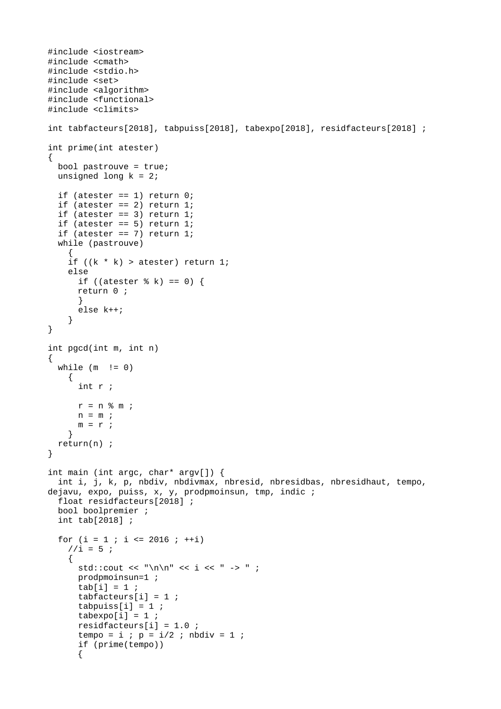```
#include <iostream>
#include <cmath>
#include <stdio.h>
#include <set>
#include <algorithm>
#include <functional>
#include <climits>
int tabfacteurs[2018], tabpuiss[2018], tabexpo[2018], residfacteurs[2018] ;
int prime(int atester)
{
   bool pastrouve = true;
  unsigned long k = 2;
  if (atester == 1) return 0;if (atester == 2) return 1;
  if (atester == 3) return 1;
  if (atester == 5) return 1;
  if (atester == 7) return 1;
   while (pastrouve)
     { 
    if ((k * k) > \text{atester}) return 1;
     else
      if ((atester % k) == 0) {
      return 0 ; 
       }
       else k++;
     }
}
int pgcd(int m, int n)
{
  while (m \mid = 0)\mathcal{L} int r ;
      r = n % m ;n = m;
      m = r;
     }
   return(n) ;
}
int main (int argc, char* argv[]) {
   int i, j, k, p, nbdiv, nbdivmax, nbresid, nbresidbas, nbresidhaut, tempo, 
dejavu, expo, puiss, x, y, prodpmoinsun, tmp, indic ;
   float residfacteurs[2018] ;
   bool boolpremier ;
   int tab[2018] ; 
  for (i = 1 ; i \le 2016 ; ++i)1/1 = 5;
     {
      std::cout << "\n\n" << i << " -> " ;
       prodpmoinsun=1 ; 
      tab[i] = 1;tabfacteurs[i] = 1;tabpuiss[i] = 1;tabexpo[i] = 1;residfacteurs[i] = 1.0;
      tempo = i; p = i/2; nbdiv = 1;
       if (prime(tempo)) 
      {
```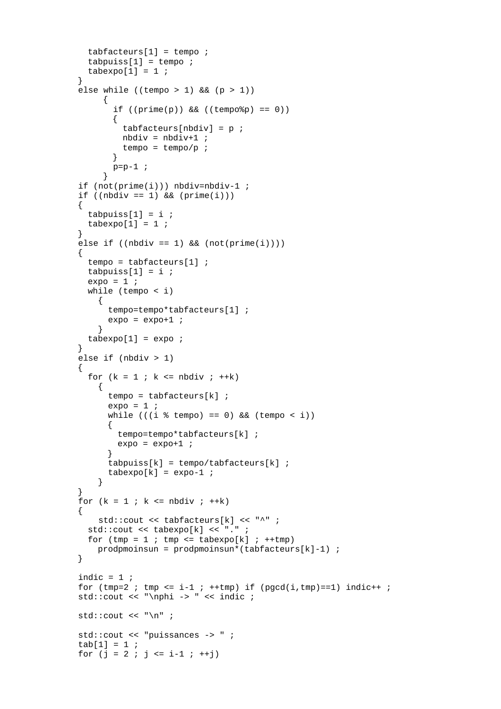```
tabfacteurs[1] = tempo;
       tabpuiss[1] = tempo;tabexpo[1] = 1;}
     else while ((tempo > 1) && (p > 1)) {
             if ((prime(p)) && ((tempo\%) == 0) {
              tabfacteurs[nbdiv] = p;
              nbdiv = nbdiv+1 ;
              tempo = tempo/p;
             }
             p=p-1 ;
            }
       if (not(prime(i))) nbdiv=nbdiv-1 ;
     if ((nbdiv == 1) & 0 & (prime(i))){
       tabpuiss[1] = i;tabexp[1] = 1;}
     else if ((nbdiv == 1) & (not(prime(i)))){
        tempo = tabfacteurs[1] ;
       tabpuiss[1] = i;expo = 1 ;
        while (tempo < i)
          {
             tempo=tempo*tabfacteurs[1] ;
           expo = expo+1;
          }
       tabexpo[1] = expo;
     }
      else if (nbdiv > 1)
     {
       for (k = 1 ; k \le h nbdiv; ++k) {
            tempo = tabfactors[k];
           expo = 1while (((i % tempo) == 0) && (tempo < i)){
              tempo=tempo*tabfacteurs[k] ;
             expo = expo+1 ;
           }
            tabpuiss[k] = tempo/tabfacteurs[k] ;
            tabexpo[k] = expo-1; }
      }
     for (k = 1 ; k \le h nbdiv; ++k){
          std::cout << tabfacteurs[k] << "^" ;
        std::cout << tabexpo[k] << "." ;
       for (tmp = 1; tmp <= tabexpo[k]; ++tmp)
         production = prodpmoinsun*(tabfactors[k]-1);
     }
     indic = 1 ;
 for (tmp=2 ; tmp <= i-1 ; ++tmp) if (pgcd(i,tmp)==1) indic++ ;
 std::cout << "\nphi -> " << indic ;
      std::cout << "\n" ;
       std::cout << "puissances -> " ;
      tab[1] = 1;for (i = 2; i \le i-1; ++i)
```